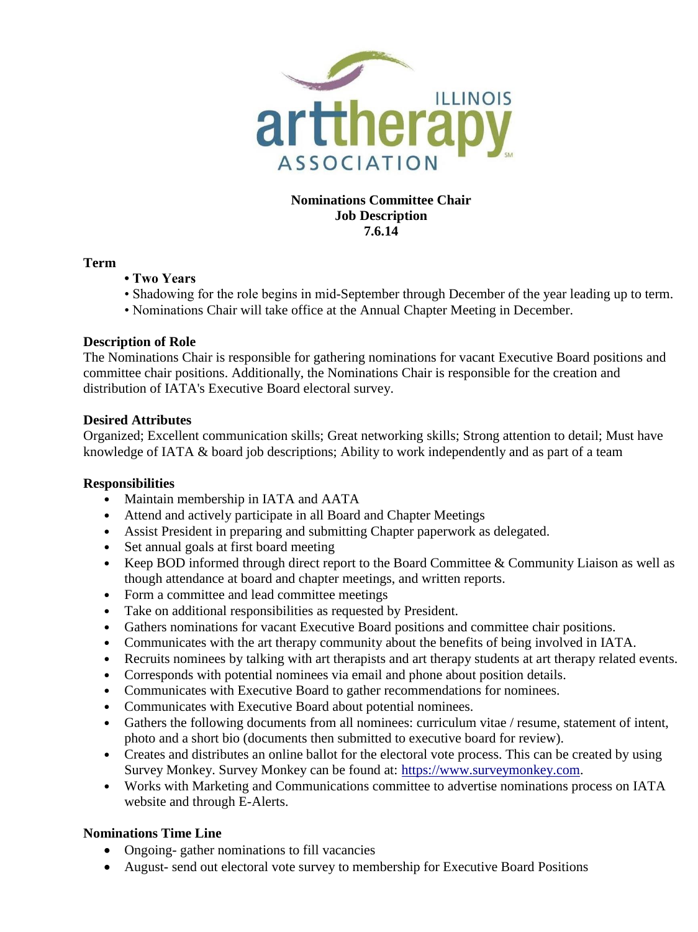

# **Nominations Committee Chair Job Description 7.6.14**

## **Term**

- **Two Years**
- Shadowing for the role begins in mid-September through December of the year leading up to term.
- Nominations Chair will take office at the Annual Chapter Meeting in December.

# **Description of Role**

The Nominations Chair is responsible for gathering nominations for vacant Executive Board positions and committee chair positions. Additionally, the Nominations Chair is responsible for the creation and distribution of IATA's Executive Board electoral survey.

## **Desired Attributes**

Organized; Excellent communication skills; Great networking skills; Strong attention to detail; Must have knowledge of IATA & board job descriptions; Ability to work independently and as part of a team

# **Responsibilities**

- Maintain membership in IATA and AATA
- Attend and actively participate in all Board and Chapter Meetings
- Assist President in preparing and submitting Chapter paperwork as delegated.
- Set annual goals at first board meeting
- Keep BOD informed through direct report to the Board Committee & Community Liaison as well as though attendance at board and chapter meetings, and written reports.
- Form a committee and lead committee meetings
- Take on additional responsibilities as requested by President.
- Gathers nominations for vacant Executive Board positions and committee chair positions.
- Communicates with the art therapy community about the benefits of being involved in IATA.
- Recruits nominees by talking with art therapists and art therapy students at art therapy related events.
- Corresponds with potential nominees via email and phone about position details.
- Communicates with Executive Board to gather recommendations for nominees.
- Communicates with Executive Board about potential nominees.
- Gathers the following documents from all nominees: curriculum vitae / resume, statement of intent, photo and a short bio (documents then submitted to executive board for review).
- Creates and distributes an online ballot for the electoral vote process. This can be created by using Survey Monkey. Survey Monkey can be found at: [https://www.surveymonkey.com.](https://www.surveymonkey.com/)
- Works with Marketing and Communications committee to advertise nominations process on IATA website and through E-Alerts.

# **Nominations Time Line**

- Ongoing- gather nominations to fill vacancies
- August- send out electoral vote survey to membership for Executive Board Positions